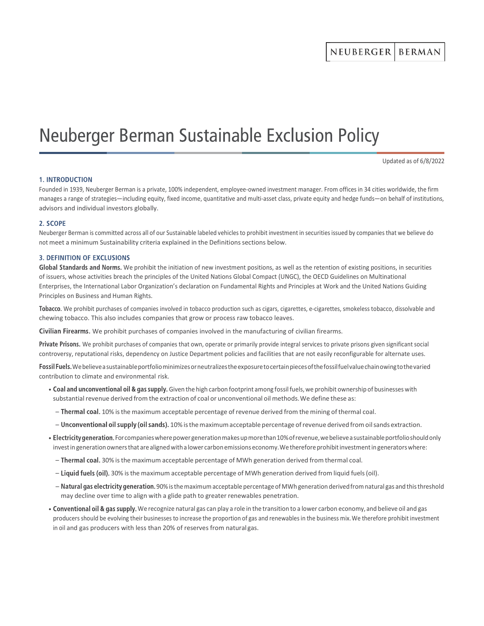# Neuberger Berman Sustainable Exclusion Policy

Updated as of 6/8/2022

## **1. INTRODUCTION**

Founded in 1939, Neuberger Berman is a private, 100% independent, employee-owned investment manager. From offices in 34 cities worldwide, the firm manages a range of strategies—including equity, fixed income, quantitative and multi-asset class, private equity and hedge funds—on behalf of institutions, advisors and individual investors globally.

### 2. SCOPE

Neuberger Berman is committed across all of our Sustainable labeled vehicles to prohibit investment in securities issued by companies that we believe do not meet a minimum Sustainability criteria explained in the Definitions sections below.

## **3. DEFINITION OF EXCLUSIONS**

Global Standards and Norms. We prohibit the initiation of new investment positions, as well as the retention of existing positions, in securities of issuers, whose activities breach the principles of the United Nations Global Compact (UNGC), the OECD Guidelines on Multinational Enterprises, the International Labor Organization's declaration on Fundamental Rights and Principles at Work and the United Nations Guiding Principles on Business and Human Rights.

Tobacco. We prohibit purchases of companies involved in tobacco production such as cigars, cigarettes, e-cigarettes, smokeless tobacco, dissolvable and chewing tobacco. This also includes companies that grow or process raw tobacco leaves.

Civilian Firearms. We prohibit purchases of companies involved in the manufacturing of civilian firearms.

Private Prisons. We prohibit purchases of companies that own, operate or primarily provide integral services to private prisons given significant social controversy, reputational risks, dependency on Justice Department policies and facilities that are not easily reconfigurable for alternate uses.

Fossil Fuels. We believe a sustainable portfolio minimizes or neutralizes the exposure to certain pieces of the fossil fuel value chain owing to the varied contribution to climate and environmental risk.

- Coal and unconventional oil & gas supply. Given the high carbon footprint among fossil fuels, we prohibit ownership of businesses with substantial revenue derived from the extraction of coal or unconventional oil methods. We define these as:
	- $-$  Thermal coal. 10% is the maximum acceptable percentage of revenue derived from the mining of thermal coal.
	- Unconventional oil supply (oil sands). 10% is the maximum acceptable percentage of revenue derived from oil sands extraction.
- Electricity generation. For companies where power generation makes up more than 10% of revenue, we believe a sustainable portfolio should only invest in generation owners that are aligned with a lower carbon emissions economy. We therefore prohibit investment in generators where:
	- Thermal coal. 30% is the maximum acceptable percentage of MWh generation derived from thermal coal.
	- Liquid fuels (oil). 30% is the maximum acceptable percentage of MWh generation derived from liquid fuels (oil).
	- $-$  Natural gas electricity generation. 90% is the maximum acceptable percentage of MWh generation derived from natural gas and this threshold may decline over time to align with a glide path to greater renewables penetration.
- Conventional oil & gas supply. We recognize natural gas can play a role in the transition to a lower carbon economy, and believe oil and gas producers should be evolving their businesses to increase the proportion of gas and renewables in the business mix. We therefore prohibit investment in oil and gas producers with less than 20% of reserves from natural gas.